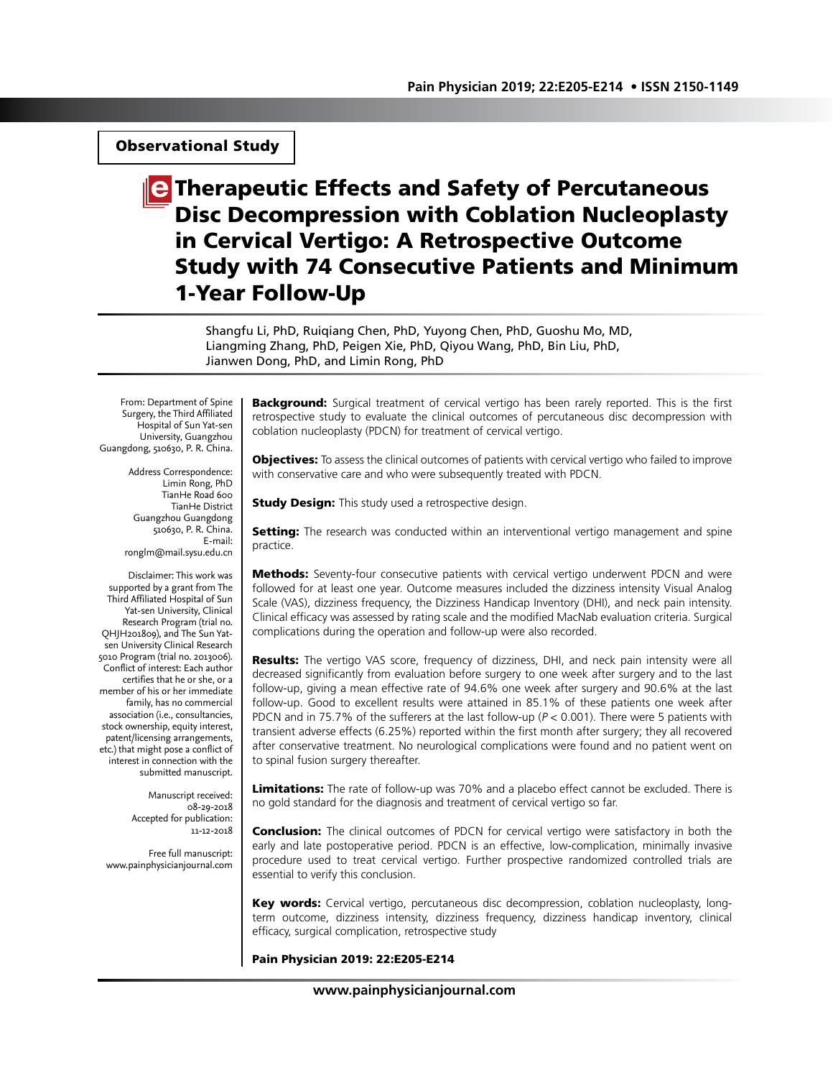# Observational Study

# **E** Therapeutic Effects and Safety of Percutaneous Disc Decompression with Coblation Nucleoplasty in Cervical Vertigo: A Retrospective Outcome Study with 74 Consecutive Patients and Minimum 1-Year Follow-Up

Shangfu Li, PhD, Ruiqiang Chen, PhD, Yuyong Chen, PhD, Guoshu Mo, MD, Liangming Zhang, PhD, Peigen Xie, PhD, Qiyou Wang, PhD, Bin Liu, PhD, Jianwen Dong, PhD, and Limin Rong, PhD

From: Department of Spine Surgery, the Third Affiliated Hospital of Sun Yat-sen University, Guangzhou Guangdong, 510630, P. R. China.

> Address Correspondence: Limin Rong, PhD TianHe Road 600 TianHe District Guangzhou Guangdong 510630, P. R. China. E-mail: ronglm@mail.sysu.edu.cn

Disclaimer: This work was supported by a grant from The Third Affiliated Hospital of Sun Yat-sen University, Clinical Research Program (trial no. QHJH201809), and The Sun Yatsen University Clinical Research 5010 Program (trial no. 2013006). Conflict of interest: Each author certifies that he or she, or a member of his or her immediate family, has no commercial association (i.e., consultancies, stock ownership, equity interest, patent/licensing arrangements, etc.) that might pose a conflict of interest in connection with the submitted manuscript.

> Manuscript received: 08-29-2018 Accepted for publication: 11-12-2018

Free full manuscript: www.painphysicianjournal.com

Background: Surgical treatment of cervical vertigo has been rarely reported. This is the first retrospective study to evaluate the clinical outcomes of percutaneous disc decompression with coblation nucleoplasty (PDCN) for treatment of cervical vertigo.

**Objectives:** To assess the clinical outcomes of patients with cervical vertigo who failed to improve with conservative care and who were subsequently treated with PDCN.

**Study Design:** This study used a retrospective design.

Setting: The research was conducted within an interventional vertigo management and spine practice.

**Methods:** Seventy-four consecutive patients with cervical vertigo underwent PDCN and were followed for at least one year. Outcome measures included the dizziness intensity Visual Analog Scale (VAS), dizziness frequency, the Dizziness Handicap Inventory (DHI), and neck pain intensity. Clinical efficacy was assessed by rating scale and the modified MacNab evaluation criteria. Surgical complications during the operation and follow-up were also recorded.

**Results:** The vertigo VAS score, frequency of dizziness, DHI, and neck pain intensity were all decreased significantly from evaluation before surgery to one week after surgery and to the last follow-up, giving a mean effective rate of 94.6% one week after surgery and 90.6% at the last follow-up. Good to excellent results were attained in 85.1% of these patients one week after PDCN and in 75.7% of the sufferers at the last follow-up ( $P < 0.001$ ). There were 5 patients with transient adverse effects (6.25%) reported within the first month after surgery; they all recovered after conservative treatment. No neurological complications were found and no patient went on to spinal fusion surgery thereafter.

**Limitations:** The rate of follow-up was 70% and a placebo effect cannot be excluded. There is no gold standard for the diagnosis and treatment of cervical vertigo so far.

**Conclusion:** The clinical outcomes of PDCN for cervical vertigo were satisfactory in both the early and late postoperative period. PDCN is an effective, low-complication, minimally invasive procedure used to treat cervical vertigo. Further prospective randomized controlled trials are essential to verify this conclusion.

Key words: Cervical vertigo, percutaneous disc decompression, coblation nucleoplasty, longterm outcome, dizziness intensity, dizziness frequency, dizziness handicap inventory, clinical efficacy, surgical complication, retrospective study

#### Pain Physician 2019: 22:E205-E214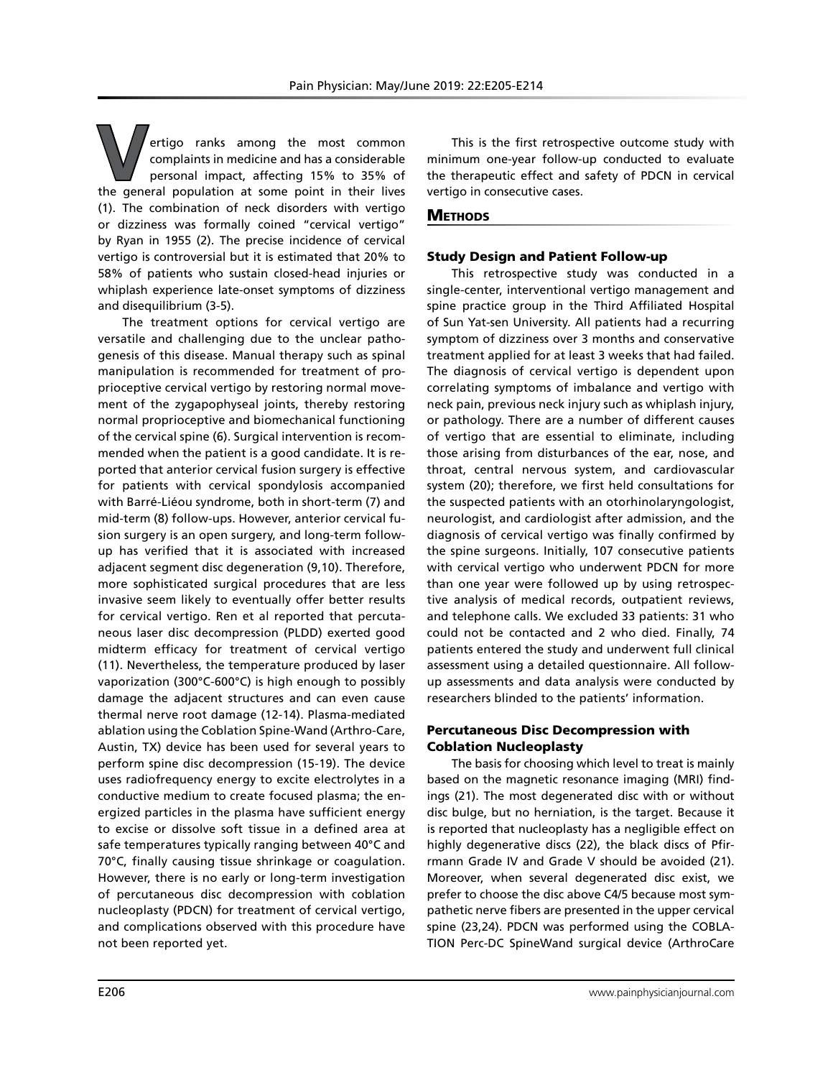**V**ertigo ranks among the most common complaints in medicine and has a considerable personal impact, affecting 15% to 35% of the general population at some point in their lives (1). The combination of neck disorders with vertigo or dizziness was formally coined "cervical vertigo" by Ryan in 1955 (2). The precise incidence of cervical vertigo is controversial but it is estimated that 20% to 58% of patients who sustain closed-head injuries or whiplash experience late-onset symptoms of dizziness and disequilibrium (3-5).

The treatment options for cervical vertigo are versatile and challenging due to the unclear pathogenesis of this disease. Manual therapy such as spinal manipulation is recommended for treatment of proprioceptive cervical vertigo by restoring normal movement of the zygapophyseal joints, thereby restoring normal proprioceptive and biomechanical functioning of the cervical spine (6). Surgical intervention is recommended when the patient is a good candidate. It is reported that anterior cervical fusion surgery is effective for patients with cervical spondylosis accompanied with Barré-Liéou syndrome, both in short-term (7) and mid-term (8) follow-ups. However, anterior cervical fusion surgery is an open surgery, and long-term followup has verified that it is associated with increased adjacent segment disc degeneration (9,10). Therefore, more sophisticated surgical procedures that are less invasive seem likely to eventually offer better results for cervical vertigo. Ren et al reported that percutaneous laser disc decompression (PLDD) exerted good midterm efficacy for treatment of cervical vertigo (11). Nevertheless, the temperature produced by laser vaporization (300°C-600°C) is high enough to possibly damage the adjacent structures and can even cause thermal nerve root damage (12-14). Plasma-mediated ablation using the Coblation Spine-Wand (Arthro-Care, Austin, TX) device has been used for several years to perform spine disc decompression (15-19). The device uses radiofrequency energy to excite electrolytes in a conductive medium to create focused plasma; the energized particles in the plasma have sufficient energy to excise or dissolve soft tissue in a defined area at safe temperatures typically ranging between 40°C and 70°C, finally causing tissue shrinkage or coagulation. However, there is no early or long-term investigation of percutaneous disc decompression with coblation nucleoplasty (PDCN) for treatment of cervical vertigo, and complications observed with this procedure have not been reported yet.

This is the first retrospective outcome study with minimum one-year follow-up conducted to evaluate the therapeutic effect and safety of PDCN in cervical vertigo in consecutive cases.

# **METHODS**

# Study Design and Patient Follow-up

This retrospective study was conducted in a single-center, interventional vertigo management and spine practice group in the Third Affiliated Hospital of Sun Yat-sen University. All patients had a recurring symptom of dizziness over 3 months and conservative treatment applied for at least 3 weeks that had failed. The diagnosis of cervical vertigo is dependent upon correlating symptoms of imbalance and vertigo with neck pain, previous neck injury such as whiplash injury, or pathology. There are a number of different causes of vertigo that are essential to eliminate, including those arising from disturbances of the ear, nose, and throat, central nervous system, and cardiovascular system (20); therefore, we first held consultations for the suspected patients with an otorhinolaryngologist, neurologist, and cardiologist after admission, and the diagnosis of cervical vertigo was finally confirmed by the spine surgeons. Initially, 107 consecutive patients with cervical vertigo who underwent PDCN for more than one year were followed up by using retrospective analysis of medical records, outpatient reviews, and telephone calls. We excluded 33 patients: 31 who could not be contacted and 2 who died. Finally, 74 patients entered the study and underwent full clinical assessment using a detailed questionnaire. All followup assessments and data analysis were conducted by researchers blinded to the patients' information.

# Percutaneous Disc Decompression with Coblation Nucleoplasty

The basis for choosing which level to treat is mainly based on the magnetic resonance imaging (MRI) findings (21). The most degenerated disc with or without disc bulge, but no herniation, is the target. Because it is reported that nucleoplasty has a negligible effect on highly degenerative discs (22), the black discs of Pfirrmann Grade IV and Grade V should be avoided (21). Moreover, when several degenerated disc exist, we prefer to choose the disc above C4/5 because most sympathetic nerve fibers are presented in the upper cervical spine (23,24). PDCN was performed using the COBLA-TION Perc-DC SpineWand surgical device (ArthroCare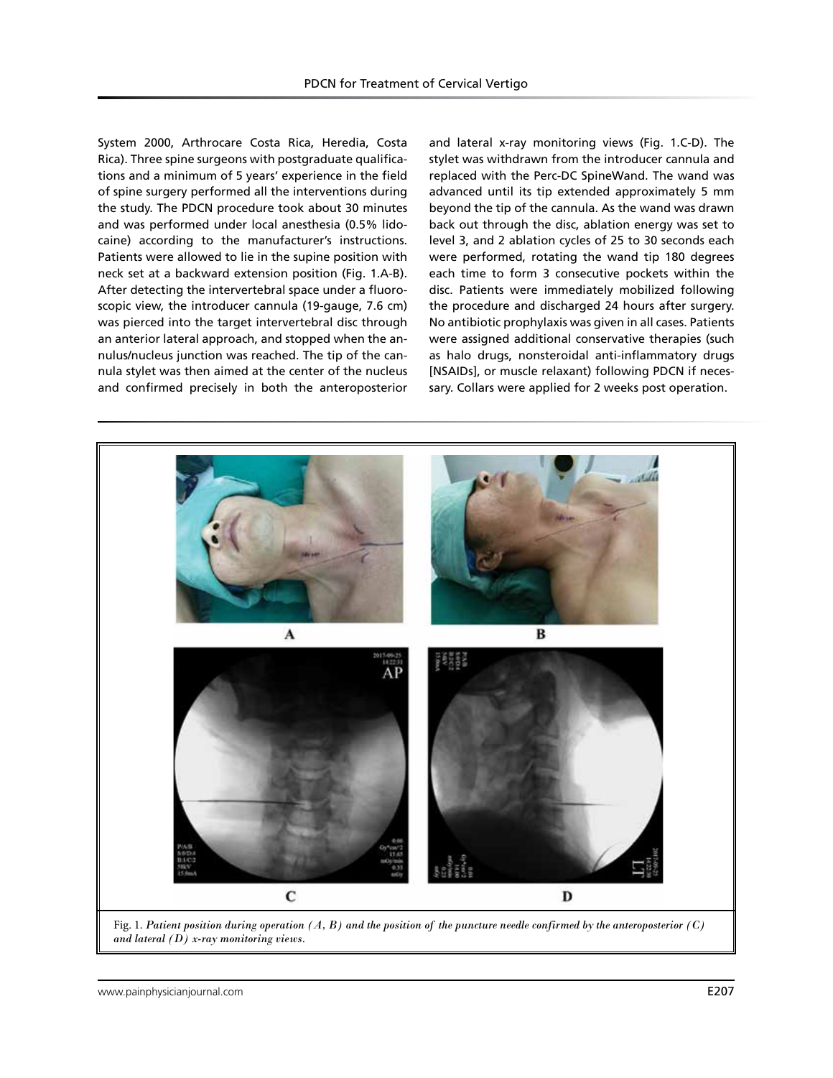System 2000, Arthrocare Costa Rica, Heredia, Costa Rica). Three spine surgeons with postgraduate qualifications and a minimum of 5 years' experience in the field of spine surgery performed all the interventions during the study. The PDCN procedure took about 30 minutes and was performed under local anesthesia (0.5% lidocaine) according to the manufacturer's instructions. Patients were allowed to lie in the supine position with neck set at a backward extension position (Fig. 1.A-B). After detecting the intervertebral space under a fluoroscopic view, the introducer cannula (19-gauge, 7.6 cm) was pierced into the target intervertebral disc through an anterior lateral approach, and stopped when the annulus/nucleus junction was reached. The tip of the cannula stylet was then aimed at the center of the nucleus and confirmed precisely in both the anteroposterior

and lateral x-ray monitoring views (Fig. 1.C-D). The stylet was withdrawn from the introducer cannula and replaced with the Perc-DC SpineWand. The wand was advanced until its tip extended approximately 5 mm beyond the tip of the cannula. As the wand was drawn back out through the disc, ablation energy was set to level 3, and 2 ablation cycles of 25 to 30 seconds each were performed, rotating the wand tip 180 degrees each time to form 3 consecutive pockets within the disc. Patients were immediately mobilized following the procedure and discharged 24 hours after surgery. No antibiotic prophylaxis was given in all cases. Patients were assigned additional conservative therapies (such as halo drugs, nonsteroidal anti-inflammatory drugs [NSAIDs], or muscle relaxant) following PDCN if necessary. Collars were applied for 2 weeks post operation.



Fig. 1. *Patient position during operation (A, B) and the position of the puncture needle confirmed by the anteroposterior (C) and lateral (D) x-ray monitoring views.*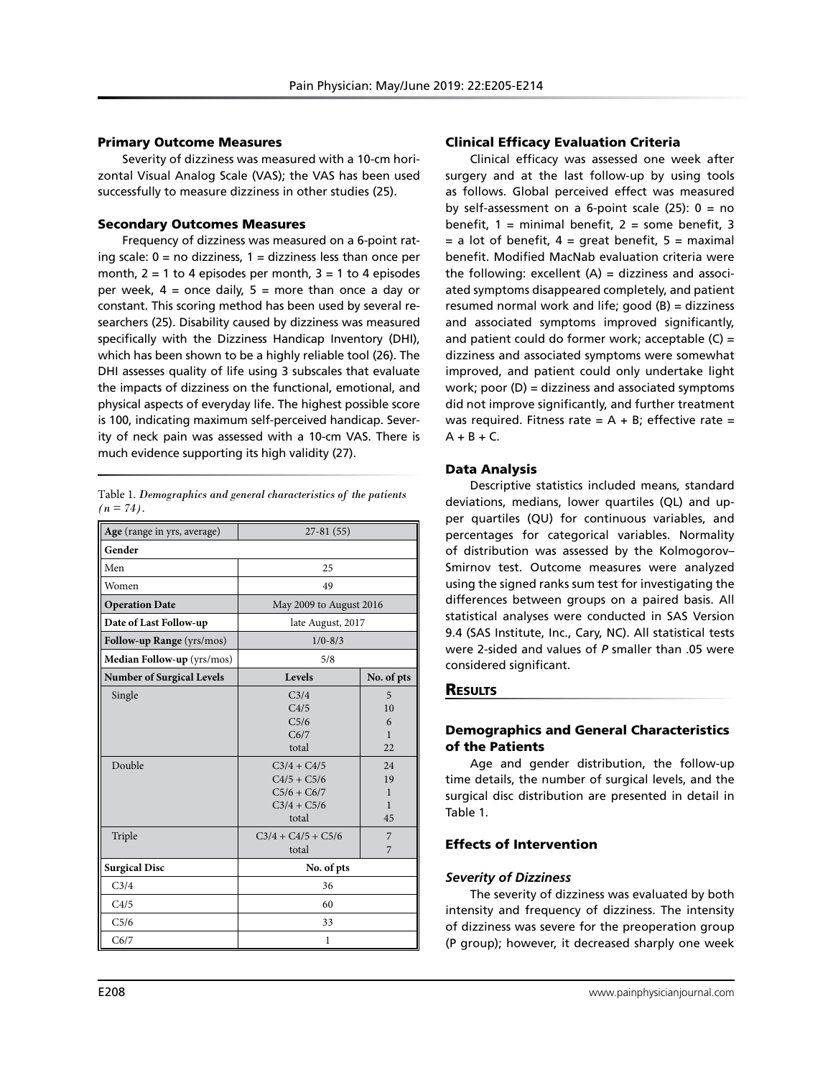#### Primary Outcome Measures

Severity of dizziness was measured with a 10-cm horizontal Visual Analog Scale (VAS); the VAS has been used successfully to measure dizziness in other studies (25).

# Secondary Outcomes Measures

Frequency of dizziness was measured on a 6-point rating scale:  $0 = no$  dizziness,  $1 =$  dizziness less than once per month,  $2 = 1$  to 4 episodes per month,  $3 = 1$  to 4 episodes per week,  $4 =$  once daily,  $5 =$  more than once a day or constant. This scoring method has been used by several researchers (25). Disability caused by dizziness was measured specifically with the Dizziness Handicap Inventory (DHI), which has been shown to be a highly reliable tool (26). The DHI assesses quality of life using 3 subscales that evaluate the impacts of dizziness on the functional, emotional, and physical aspects of everyday life. The highest possible score is 100, indicating maximum self-perceived handicap. Severity of neck pain was assessed with a 10-cm VAS. There is much evidence supporting its high validity (27).

| Table 1. Demographics and general characteristics of the patients |  |  |
|-------------------------------------------------------------------|--|--|
| $(n = 74)$ .                                                      |  |  |

| Age (range in yrs, average)      | $27-81(55)$                                                                 |                           |  |  |
|----------------------------------|-----------------------------------------------------------------------------|---------------------------|--|--|
| Gender                           |                                                                             |                           |  |  |
| Men                              | 25                                                                          |                           |  |  |
| Women                            | 49                                                                          |                           |  |  |
| <b>Operation Date</b>            | May 2009 to August 2016                                                     |                           |  |  |
| Date of Last Follow-up           | late August, 2017                                                           |                           |  |  |
| Follow-up Range (yrs/mos)        | $1/0 - 8/3$                                                                 |                           |  |  |
| Median Follow-up (yrs/mos)       | 5/8                                                                         |                           |  |  |
| <b>Number of Surgical Levels</b> | Levels                                                                      | No. of pts                |  |  |
| Single                           | C <sub>3/4</sub><br>C4/5<br>C <sub>5/6</sub><br>C6/7<br>total               | 5<br>10<br>6<br>1<br>22   |  |  |
| Double                           | $C_3/4 + C_4/5$<br>$C4/5 + C5/6$<br>$C5/6 + C6/7$<br>$C3/4 + C5/6$<br>total | 2.4<br>19<br>1<br>1<br>45 |  |  |
| Triple                           | $C_3/4 + C_4/5 + C_5/6$<br>total                                            | 7<br>7                    |  |  |
| <b>Surgical Disc</b>             | No. of pts                                                                  |                           |  |  |
| C3/4                             | 36                                                                          |                           |  |  |
| C4/5                             | 60                                                                          |                           |  |  |
| C5/6                             | 33                                                                          |                           |  |  |
| C6/7                             | 1                                                                           |                           |  |  |

#### Clinical Efficacy Evaluation Criteria

Clinical efficacy was assessed one week after surgery and at the last follow-up by using tools as follows. Global perceived effect was measured by self-assessment on a 6-point scale  $(25)$ :  $0 = no$ benefit,  $1 =$  minimal benefit,  $2 =$  some benefit,  $3$  $=$  a lot of benefit,  $4 =$  great benefit,  $5 =$  maximal benefit. Modified MacNab evaluation criteria were the following: excellent  $(A)$  = dizziness and associated symptoms disappeared completely, and patient resumed normal work and life; good (B) = dizziness and associated symptoms improved significantly, and patient could do former work; acceptable  $(C)$  = dizziness and associated symptoms were somewhat improved, and patient could only undertake light work; poor  $(D)$  = dizziness and associated symptoms did not improve significantly, and further treatment was required. Fitness rate =  $A + B$ ; effective rate =  $A + B + C$ .

#### Data Analysis

Descriptive statistics included means, standard deviations, medians, lower quartiles (QL) and upper quartiles (QU) for continuous variables, and percentages for categorical variables. Normality of distribution was assessed by the Kolmogorov– Smirnov test. Outcome measures were analyzed using the signed ranks sum test for investigating the differences between groups on a paired basis. All statistical analyses were conducted in SAS Version 9.4 (SAS Institute, Inc., Cary, NC). All statistical tests were 2-sided and values of *P* smaller than .05 were considered significant.

# **RESULTS**

# Demographics and General Characteristics of the Patients

Age and gender distribution, the follow-up time details, the number of surgical levels, and the surgical disc distribution are presented in detail in Table 1.

# Effects of Intervention

#### *Severity of Dizziness*

The severity of dizziness was evaluated by both intensity and frequency of dizziness. The intensity of dizziness was severe for the preoperation group (P group); however, it decreased sharply one week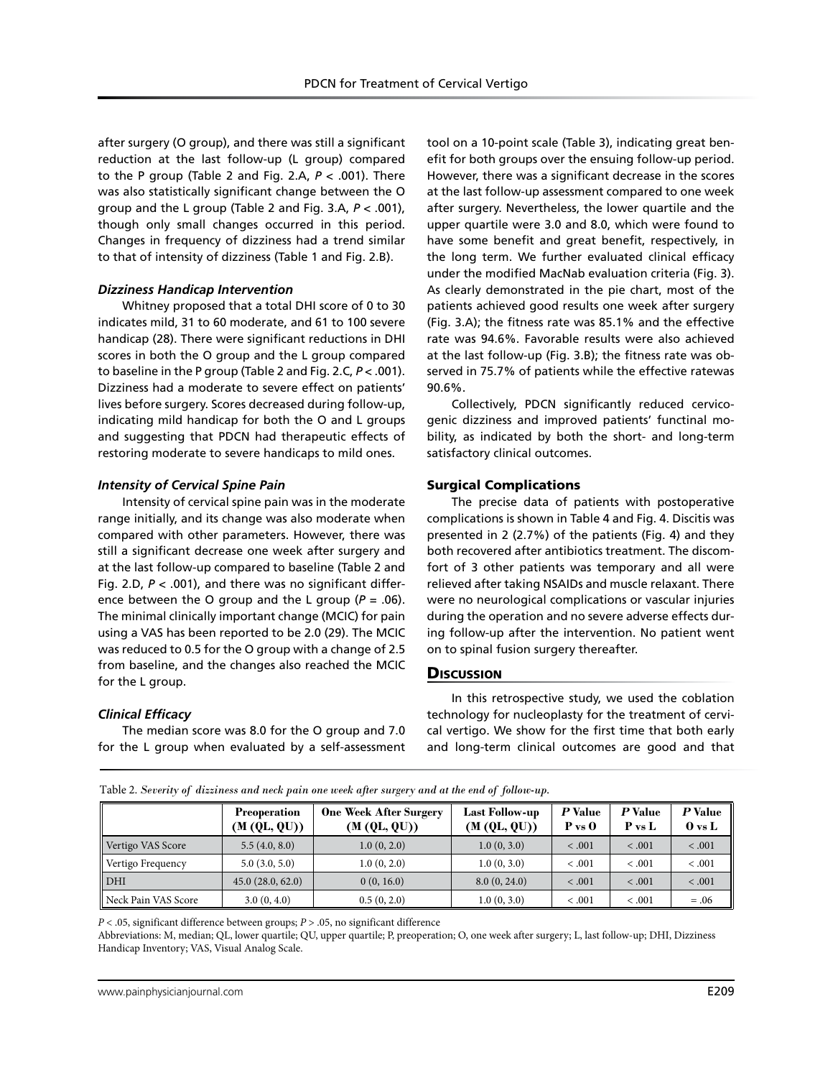after surgery (O group), and there was still a significant reduction at the last follow-up (L group) compared to the P group (Table 2 and Fig. 2.A, *P* < .001). There was also statistically significant change between the O group and the L group (Table 2 and Fig. 3.A, *P* < .001), though only small changes occurred in this period. Changes in frequency of dizziness had a trend similar to that of intensity of dizziness (Table 1 and Fig. 2.B).

# *Dizziness Handicap Intervention*

Whitney proposed that a total DHI score of 0 to 30 indicates mild, 31 to 60 moderate, and 61 to 100 severe handicap (28). There were significant reductions in DHI scores in both the O group and the L group compared to baseline in the P group (Table 2 and Fig. 2.C, *P* < .001). Dizziness had a moderate to severe effect on patients' lives before surgery. Scores decreased during follow-up, indicating mild handicap for both the O and L groups and suggesting that PDCN had therapeutic effects of restoring moderate to severe handicaps to mild ones.

#### *Intensity of Cervical Spine Pain*

Intensity of cervical spine pain was in the moderate range initially, and its change was also moderate when compared with other parameters. However, there was still a significant decrease one week after surgery and at the last follow-up compared to baseline (Table 2 and Fig. 2.D, *P* < .001), and there was no significant difference between the O group and the L group  $(P = .06)$ . The minimal clinically important change (MCIC) for pain using a VAS has been reported to be 2.0 (29). The MCIC was reduced to 0.5 for the O group with a change of 2.5 from baseline, and the changes also reached the MCIC for the L group.

# *Clinical Efficacy*

The median score was 8.0 for the O group and 7.0 for the L group when evaluated by a self-assessment tool on a 10-point scale (Table 3), indicating great benefit for both groups over the ensuing follow-up period. However, there was a significant decrease in the scores at the last follow-up assessment compared to one week after surgery. Nevertheless, the lower quartile and the upper quartile were 3.0 and 8.0, which were found to have some benefit and great benefit, respectively, in the long term. We further evaluated clinical efficacy under the modified MacNab evaluation criteria (Fig. 3). As clearly demonstrated in the pie chart, most of the patients achieved good results one week after surgery (Fig. 3.A); the fitness rate was 85.1% and the effective rate was 94.6%. Favorable results were also achieved at the last follow-up (Fig. 3.B); the fitness rate was observed in 75.7% of patients while the effective ratewas 90.6%.

Collectively, PDCN significantly reduced cervicogenic dizziness and improved patients' functinal mobility, as indicated by both the short- and long-term satisfactory clinical outcomes.

# Surgical Complications

The precise data of patients with postoperative complications is shown in Table 4 and Fig. 4. Discitis was presented in 2 (2.7%) of the patients (Fig. 4) and they both recovered after antibiotics treatment. The discomfort of 3 other patients was temporary and all were relieved after taking NSAIDs and muscle relaxant. There were no neurological complications or vascular injuries during the operation and no severe adverse effects during follow-up after the intervention. No patient went on to spinal fusion surgery thereafter.

# **Discussion**

In this retrospective study, we used the coblation technology for nucleoplasty for the treatment of cervical vertigo. We show for the first time that both early and long-term clinical outcomes are good and that

|                     | <b>Preoperation</b><br>(M (QL, QU)) | <b>One Week After Surgery</b><br>(M (QL, QU)) | <b>Last Follow-up</b><br>(M (QL, QU)) | P Value<br>$P$ vs $Q$ | P Value<br>P vs L | P Value<br>$\mathbf{0}$ vs L |
|---------------------|-------------------------------------|-----------------------------------------------|---------------------------------------|-----------------------|-------------------|------------------------------|
| Vertigo VAS Score   | 5.5(4.0, 8.0)                       | 1.0(0, 2.0)                                   | 1.0(0, 3.0)                           | < .001                | < .001            | < .001                       |
| Vertigo Frequency   | 5.0(3.0, 5.0)                       | 1.0(0, 2.0)                                   | 1.0(0, 3.0)                           | < .001                | < .001            | < .001                       |
| DHI                 | 45.0(28.0, 62.0)                    | 0(0, 16.0)                                    | 8.0(0, 24.0)                          | < .001                | < .001            | < .001                       |
| Neck Pain VAS Score | 3.0(0, 4.0)                         | 0.5(0, 2.0)                                   | 1.0(0, 3.0)                           | < .001                | < .001            | $=.06$                       |

Table 2. *Severity of dizziness and neck pain one week after surgery and at the end of follow-up.*

*P* < .05, significant difference between groups; *P* > .05, no significant difference

Abbreviations: M, median; QL, lower quartile; QU, upper quartile; P, preoperation; O, one week after surgery; L, last follow-up; DHI, Dizziness Handicap Inventory; VAS, Visual Analog Scale.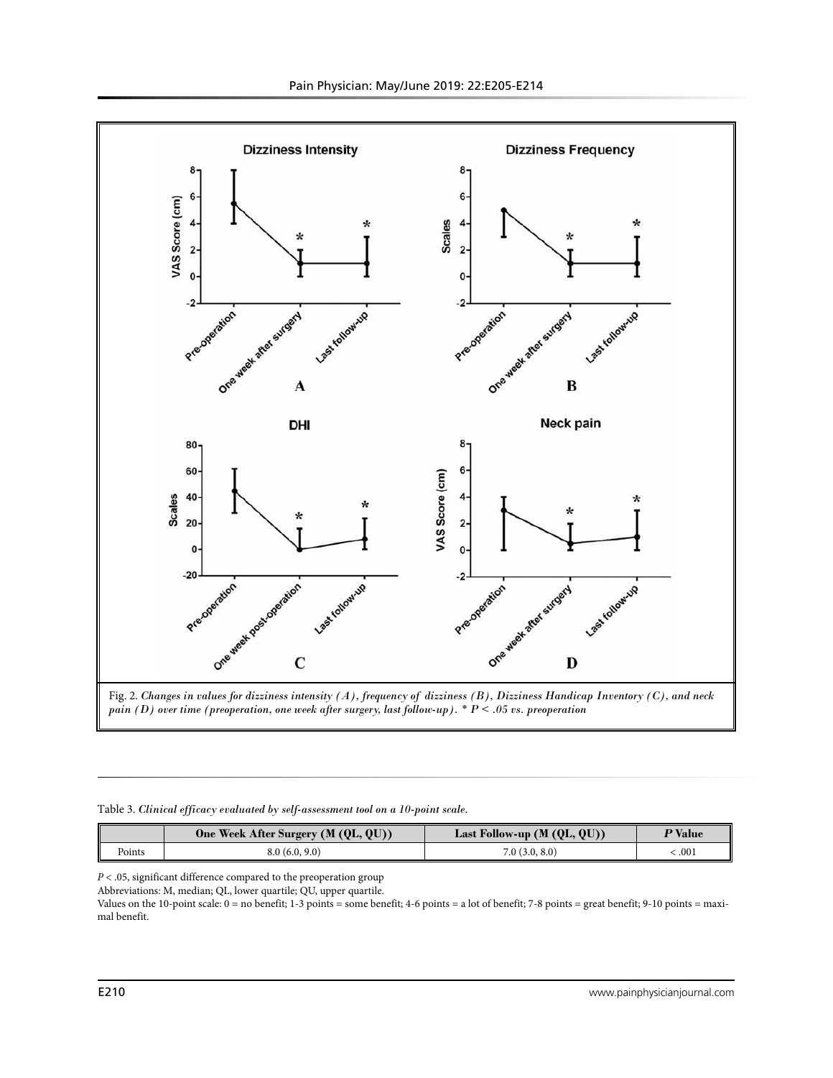

Fig. 2. *Changes in values for dizziness intensity (A), frequency of dizziness (B), Dizziness Handicap Inventory (C), and neck pain (D) over time (preoperation, one week after surgery, last follow-up). \* P < .05 vs. preoperation*

#### Table 3. *Clinical efficacy evaluated by self-assessment tool on a 10-point scale.*

|        | One Week After Surgery (M (QL, QU)) | Last Follow-up $(M (QL, QU))$ | <sup>•</sup> Value |
|--------|-------------------------------------|-------------------------------|--------------------|
| Points | 8.0(6.0, 9.0)                       | 7.0(3.0, 8.0)                 | .001               |

*P* < .05, significant difference compared to the preoperation group

Abbreviations: M, median; QL, lower quartile; QU, upper quartile.

Values on the 10-point scale: 0 = no benefit; 1-3 points = some benefit; 4-6 points = a lot of benefit; 7-8 points = great benefit; 9-10 points = maximal benefit.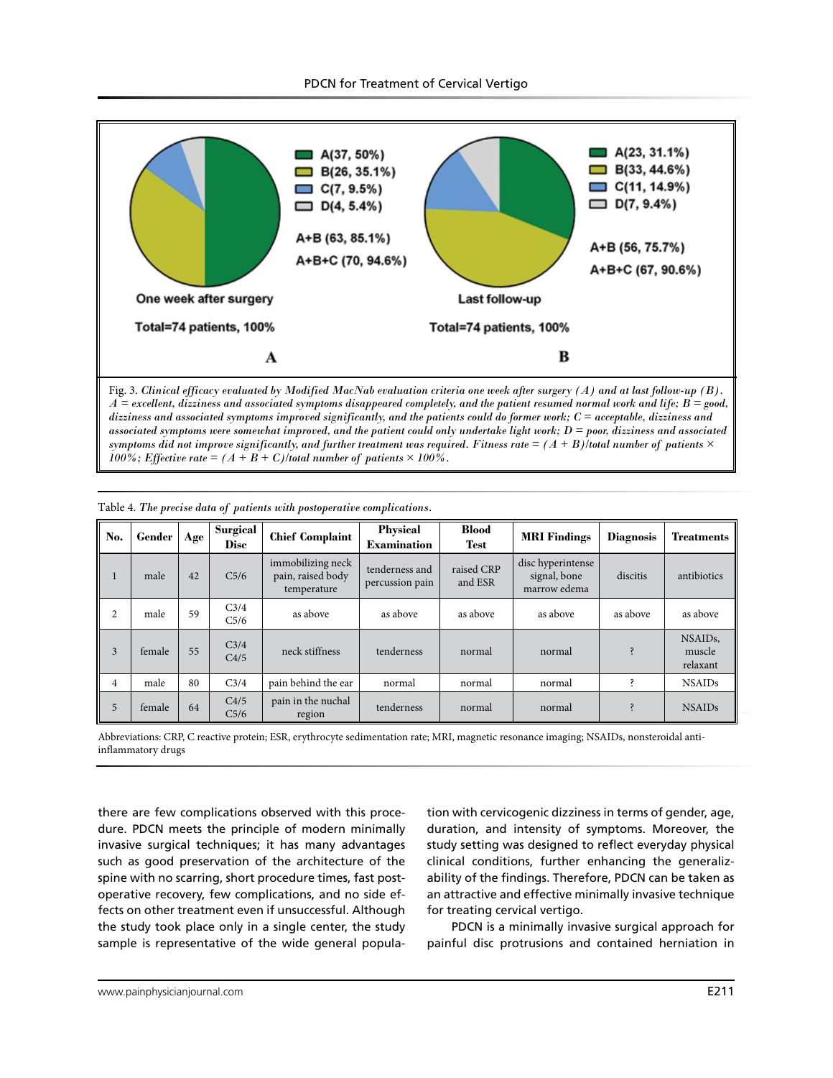

*A = excellent, dizziness and associated symptoms disappeared completely, and the patient resumed normal work and life; B = good, dizziness and associated symptoms improved significantly, and the patients could do former work; C = acceptable, dizziness and associated symptoms were somewhat improved, and the patient could only undertake light work; D = poor, dizziness and associated*  symptoms did not improve significantly, and further treatment was required. Fitness rate  $=(A + B)/\epsilon$  and number of patients  $\times$ *100%; Effective rate* =  $(A + B + C)$ /total number of patients  $\times$  100%.

| No.            | Gender | Age | Surgical<br><b>Disc</b>              | <b>Chief Complaint</b>                                | <b>Physical</b><br><b>Examination</b> | <b>Blood</b><br><b>Test</b> | <b>MRI</b> Findings                               | <b>Diagnosis</b> | <b>Treatments</b>                        |
|----------------|--------|-----|--------------------------------------|-------------------------------------------------------|---------------------------------------|-----------------------------|---------------------------------------------------|------------------|------------------------------------------|
| ш              | male   | 42  | C <sub>5/6</sub>                     | immobilizing neck<br>pain, raised body<br>temperature | tenderness and<br>percussion pain     | raised CRP<br>and ESR       | disc hyperintense<br>signal, bone<br>marrow edema | discitis         | antibiotics                              |
| 2              | male   | 59  | C <sub>3/4</sub><br>C <sub>5/6</sub> | as above                                              | as above                              | as above                    | as above                                          | as above         | as above                                 |
| 3              | female | 55  | C <sub>3/4</sub><br>C4/5             | neck stiffness                                        | tenderness                            | normal                      | normal                                            |                  | NSAID <sub>s</sub><br>muscle<br>relaxant |
| $\overline{4}$ | male   | 80  | C <sub>3/4</sub>                     | pain behind the ear                                   | normal                                | normal                      | normal                                            |                  | <b>NSAIDs</b>                            |
| 5              | female | 64  | C4/5<br>C <sub>5/6</sub>             | pain in the nuchal<br>region                          | tenderness                            | normal                      | normal                                            |                  | <b>NSAIDs</b>                            |

Table 4. *The precise data of patients with postoperative complications.*

Abbreviations: CRP, C reactive protein; ESR, erythrocyte sedimentation rate; MRI, magnetic resonance imaging; NSAIDs, nonsteroidal antiinflammatory drugs

there are few complications observed with this procedure. PDCN meets the principle of modern minimally invasive surgical techniques; it has many advantages such as good preservation of the architecture of the spine with no scarring, short procedure times, fast postoperative recovery, few complications, and no side effects on other treatment even if unsuccessful. Although the study took place only in a single center, the study sample is representative of the wide general popula-

tion with cervicogenic dizziness in terms of gender, age, duration, and intensity of symptoms. Moreover, the study setting was designed to reflect everyday physical clinical conditions, further enhancing the generalizability of the findings. Therefore, PDCN can be taken as an attractive and effective minimally invasive technique for treating cervical vertigo.

PDCN is a minimally invasive surgical approach for painful disc protrusions and contained herniation in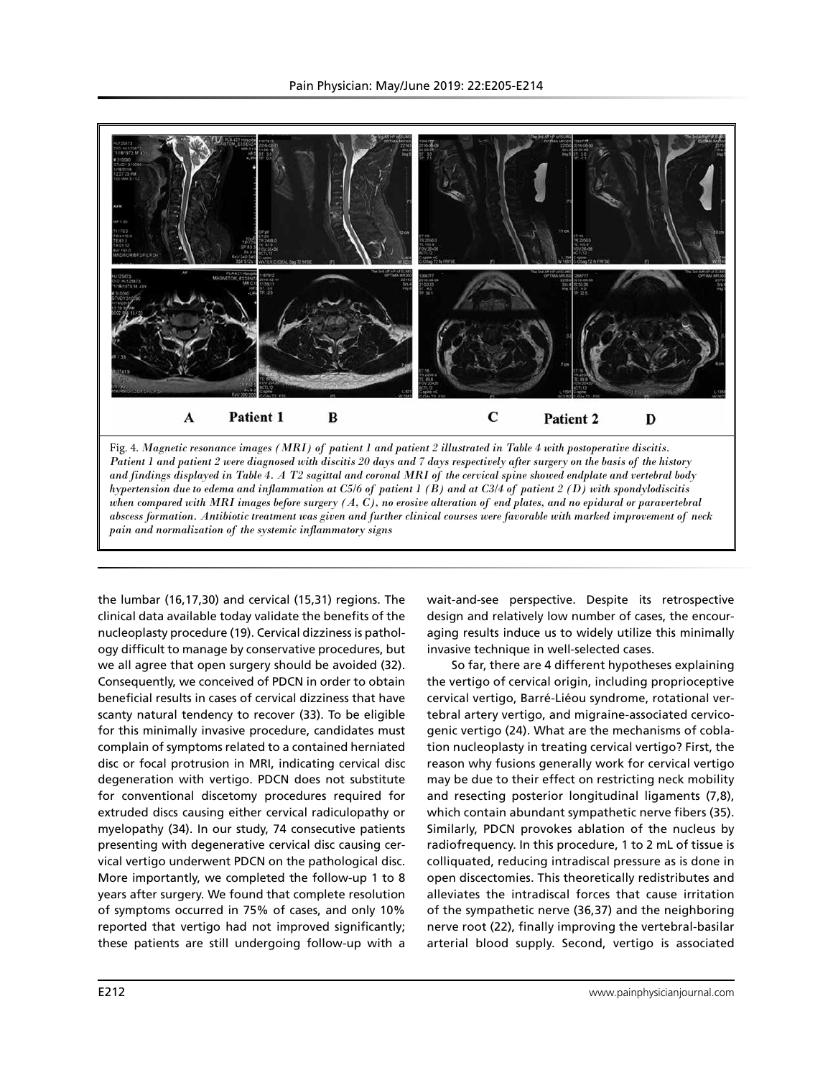

Fig. 4. *Magnetic resonance images (MRI) of patient 1 and patient 2 illustrated in Table 4 with postoperative discitis. Patient 1 and patient 2 were diagnosed with discitis 20 days and 7 days respectively after surgery on the basis of the history and findings displayed in Table 4. A T2 sagittal and coronal MRI of the cervical spine showed endplate and vertebral body hypertension due to edema and inflammation at C5/6 of patient 1 (B) and at C3/4 of patient 2 (D) with spondylodiscitis when compared with MRI images before surgery (A, C), no erosive alteration of end plates, and no epidural or paravertebral abscess formation. Antibiotic treatment was given and further clinical courses were favorable with marked improvement of neck pain and normalization of the systemic inflammatory signs*

the lumbar (16,17,30) and cervical (15,31) regions. The clinical data available today validate the benefits of the nucleoplasty procedure (19). Cervical dizziness is pathology difficult to manage by conservative procedures, but we all agree that open surgery should be avoided (32). Consequently, we conceived of PDCN in order to obtain beneficial results in cases of cervical dizziness that have scanty natural tendency to recover (33). To be eligible for this minimally invasive procedure, candidates must complain of symptoms related to a contained herniated disc or focal protrusion in MRI, indicating cervical disc degeneration with vertigo. PDCN does not substitute for conventional discetomy procedures required for extruded discs causing either cervical radiculopathy or myelopathy (34). In our study, 74 consecutive patients presenting with degenerative cervical disc causing cervical vertigo underwent PDCN on the pathological disc. More importantly, we completed the follow-up 1 to 8 years after surgery. We found that complete resolution of symptoms occurred in 75% of cases, and only 10% reported that vertigo had not improved significantly; these patients are still undergoing follow-up with a

wait-and-see perspective. Despite its retrospective design and relatively low number of cases, the encouraging results induce us to widely utilize this minimally invasive technique in well-selected cases.

So far, there are 4 different hypotheses explaining the vertigo of cervical origin, including proprioceptive cervical vertigo, Barré-Liéou syndrome, rotational vertebral artery vertigo, and migraine-associated cervicogenic vertigo (24). What are the mechanisms of coblation nucleoplasty in treating cervical vertigo? First, the reason why fusions generally work for cervical vertigo may be due to their effect on restricting neck mobility and resecting posterior longitudinal ligaments (7,8), which contain abundant sympathetic nerve fibers (35). Similarly, PDCN provokes ablation of the nucleus by radiofrequency. In this procedure, 1 to 2 mL of tissue is colliquated, reducing intradiscal pressure as is done in open discectomies. This theoretically redistributes and alleviates the intradiscal forces that cause irritation of the sympathetic nerve (36,37) and the neighboring nerve root (22), finally improving the vertebral-basilar arterial blood supply. Second, vertigo is associated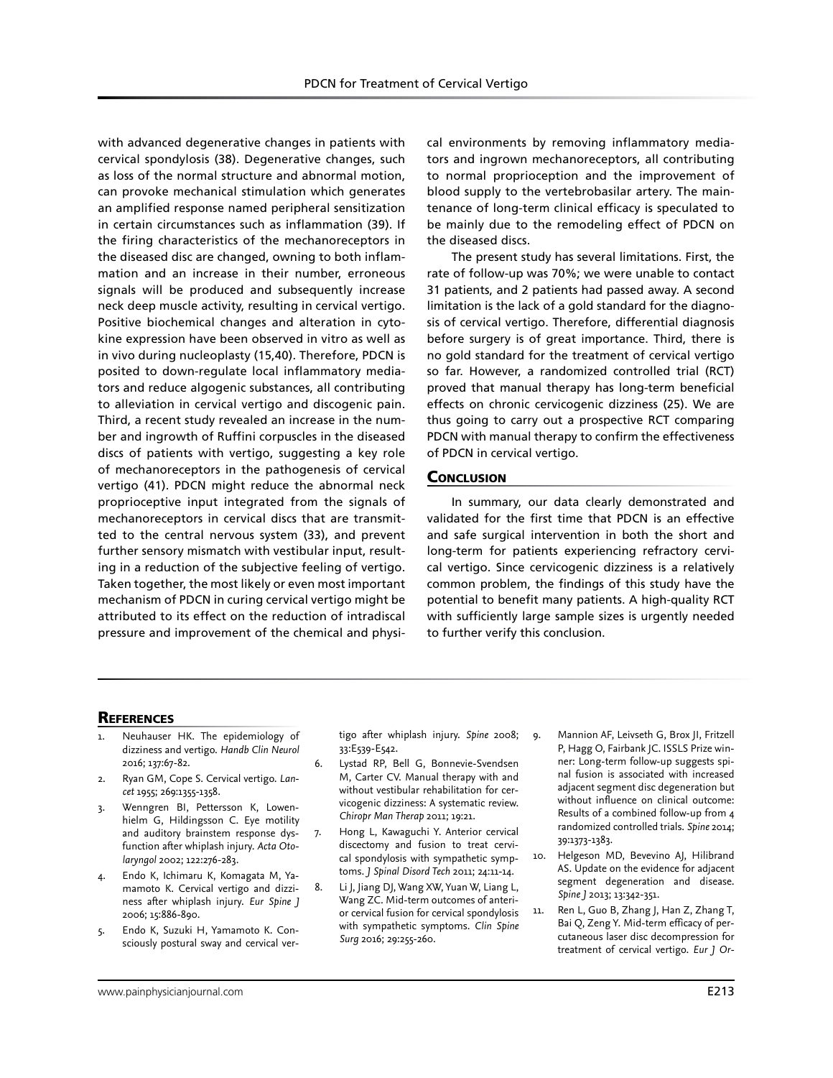with advanced degenerative changes in patients with cervical spondylosis (38). Degenerative changes, such as loss of the normal structure and abnormal motion, can provoke mechanical stimulation which generates an amplified response named peripheral sensitization in certain circumstances such as inflammation (39). If the firing characteristics of the mechanoreceptors in the diseased disc are changed, owning to both inflammation and an increase in their number, erroneous signals will be produced and subsequently increase neck deep muscle activity, resulting in cervical vertigo. Positive biochemical changes and alteration in cytokine expression have been observed in vitro as well as in vivo during nucleoplasty (15,40). Therefore, PDCN is posited to down-regulate local inflammatory mediators and reduce algogenic substances, all contributing to alleviation in cervical vertigo and discogenic pain. Third, a recent study revealed an increase in the number and ingrowth of Ruffini corpuscles in the diseased discs of patients with vertigo, suggesting a key role of mechanoreceptors in the pathogenesis of cervical vertigo (41). PDCN might reduce the abnormal neck proprioceptive input integrated from the signals of mechanoreceptors in cervical discs that are transmitted to the central nervous system (33), and prevent further sensory mismatch with vestibular input, resulting in a reduction of the subjective feeling of vertigo. Taken together, the most likely or even most important mechanism of PDCN in curing cervical vertigo might be attributed to its effect on the reduction of intradiscal pressure and improvement of the chemical and physi-

cal environments by removing inflammatory mediators and ingrown mechanoreceptors, all contributing to normal proprioception and the improvement of blood supply to the vertebrobasilar artery. The maintenance of long-term clinical efficacy is speculated to be mainly due to the remodeling effect of PDCN on the diseased discs.

The present study has several limitations. First, the rate of follow-up was 70%; we were unable to contact 31 patients, and 2 patients had passed away. A second limitation is the lack of a gold standard for the diagnosis of cervical vertigo. Therefore, differential diagnosis before surgery is of great importance. Third, there is no gold standard for the treatment of cervical vertigo so far. However, a randomized controlled trial (RCT) proved that manual therapy has long-term beneficial effects on chronic cervicogenic dizziness (25). We are thus going to carry out a prospective RCT comparing PDCN with manual therapy to confirm the effectiveness of PDCN in cervical vertigo.

#### **CONCLUSION**

In summary, our data clearly demonstrated and validated for the first time that PDCN is an effective and safe surgical intervention in both the short and long-term for patients experiencing refractory cervical vertigo. Since cervicogenic dizziness is a relatively common problem, the findings of this study have the potential to benefit many patients. A high-quality RCT with sufficiently large sample sizes is urgently needed to further verify this conclusion.

#### **REFERENCES**

- Neuhauser HK. The epidemiology of dizziness and vertigo. *Handb Clin Neurol* 2016; 137:67-82.
- 2. Ryan GM, Cope S. Cervical vertigo. *Lancet* 1955; 269:1355-1358.
- 3. Wenngren BI, Pettersson K, Lowenhielm G, Hildingsson C. Eye motility and auditory brainstem response dysfunction after whiplash injury. *Acta Otolaryngol* 2002; 122:276-283.
- 4. Endo K, Ichimaru K, Komagata M, Yamamoto K. Cervical vertigo and dizziness after whiplash injury. *Eur Spine J* 2006; 15:886-890.
- 5. Endo K, Suzuki H, Yamamoto K. Consciously postural sway and cervical ver-

tigo after whiplash injury. *Spine* 2008; 33:E539-E542.

- 6. Lystad RP, Bell G, Bonnevie-Svendsen M, Carter CV. Manual therapy with and without vestibular rehabilitation for cervicogenic dizziness: A systematic review. *Chiropr Man Therap* 2011; 19:21.
- 7. Hong L, Kawaguchi Y. Anterior cervical discectomy and fusion to treat cervical spondylosis with sympathetic symptoms. *J Spinal Disord Tech* 2011; 24:11-14.
- 8. Li J, Jiang DJ, Wang XW, Yuan W, Liang L, Wang ZC. Mid-term outcomes of anterior cervical fusion for cervical spondylosis with sympathetic symptoms. *Clin Spine Surg* 2016; 29:255-260.
- 9. Mannion AF, Leivseth G, Brox JI, Fritzell P, Hagg O, Fairbank JC. ISSLS Prize winner: Long-term follow-up suggests spinal fusion is associated with increased adjacent segment disc degeneration but without influence on clinical outcome: Results of a combined follow-up from 4 randomized controlled trials. *Spine* 2014; 39:1373-1383.
- 10. Helgeson MD, Bevevino AJ, Hilibrand AS. Update on the evidence for adjacent segment degeneration and disease. *Spine J* 2013; 13:342-351.
- 11. Ren L, Guo B, Zhang J, Han Z, Zhang T, Bai Q, Zeng Y. Mid-term efficacy of percutaneous laser disc decompression for treatment of cervical vertigo. *Eur J Or-*